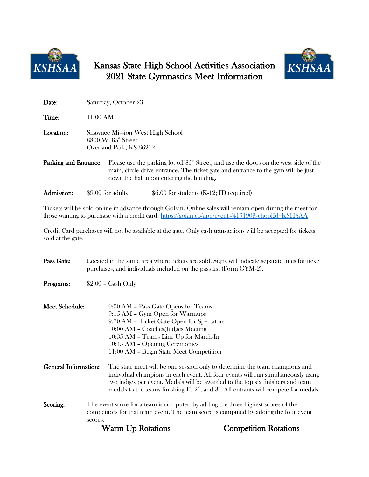

## Kansas State High School Activities Association 2021 State Gymnastics Meet Information



| Date:                 |                                                                                                                 | Saturday, October 23                                                                                                                                                                                                            |  |  |  |  |
|-----------------------|-----------------------------------------------------------------------------------------------------------------|---------------------------------------------------------------------------------------------------------------------------------------------------------------------------------------------------------------------------------|--|--|--|--|
| Time:                 | $11:00 \text{ AM}$                                                                                              |                                                                                                                                                                                                                                 |  |  |  |  |
| Location:             | <b>Shawnee Mission West High School</b><br>$8800 \,\mathrm{W}$ , $85^{\circ}$ Street<br>Overland Park, KS 66212 |                                                                                                                                                                                                                                 |  |  |  |  |
| Parking and Entrance: |                                                                                                                 | Please use the parking lot off $85^{\circ}$ Street, and use the doors on the west side of the<br>main, circle drive entrance. The ticket gate and entrance to the gym will be just<br>down the hall upon entering the building. |  |  |  |  |

Admission: \$9.00 for adults \$6.00 for students (K-12; ID required)

Tickets will be sold online in advance through GoFan. Online sales will remain open during the meet for those wanting to purchase with a credit card.<https://gofan.co/app/events/415190?schoolId=KSHSAA>

Credit Card purchases will not be available at the gate. Only cash transactions will be accepted for tickets sold at the gate.

| Pass Gate:                  | Located in the same area where tickets are sold. Signs will indicate separate lines for ticket<br>purchases, and individuals included on the pass list (Form GYM-2). |                                                                                                                                                                                                                                                                                                                                                                           |                              |  |  |  |  |
|-----------------------------|----------------------------------------------------------------------------------------------------------------------------------------------------------------------|---------------------------------------------------------------------------------------------------------------------------------------------------------------------------------------------------------------------------------------------------------------------------------------------------------------------------------------------------------------------------|------------------------------|--|--|--|--|
| Programs:                   |                                                                                                                                                                      | $$2.00 - Cash Only$                                                                                                                                                                                                                                                                                                                                                       |                              |  |  |  |  |
| <b>Meet Schedule:</b>       |                                                                                                                                                                      | 9:00 AM - Pass Gate Opens for Teams<br>9:15 AM - Gym Open for Warmups<br>9:30 AM - Ticket Gate Open for Spectators<br>10:00 AM - Coaches/Judges Meeting<br>10:35 AM - Teams Line Up for March-In<br>10:45 AM - Opening Ceremonies<br>11:00 AM - Begin State Meet Competition                                                                                              |                              |  |  |  |  |
| <b>General Information:</b> |                                                                                                                                                                      | The state meet will be one session only to determine the team champions and<br>individual champions in each event. All four events will run simultaneously using<br>two judges per event. Medals will be awarded to the top six finishers and team<br>medals to the teams finishing $1^{\circ}$ , $2^{\omega}$ , and $3^{\omega}$ . All entrants will compete for medals. |                              |  |  |  |  |
| Scoring:                    | scores.                                                                                                                                                              | The event score for a team is computed by adding the three highest scores of the<br>competitors for that team event. The team score is computed by adding the four event                                                                                                                                                                                                  |                              |  |  |  |  |
|                             |                                                                                                                                                                      | <b>Warm Up Rotations</b>                                                                                                                                                                                                                                                                                                                                                  | <b>Competition Rotations</b> |  |  |  |  |